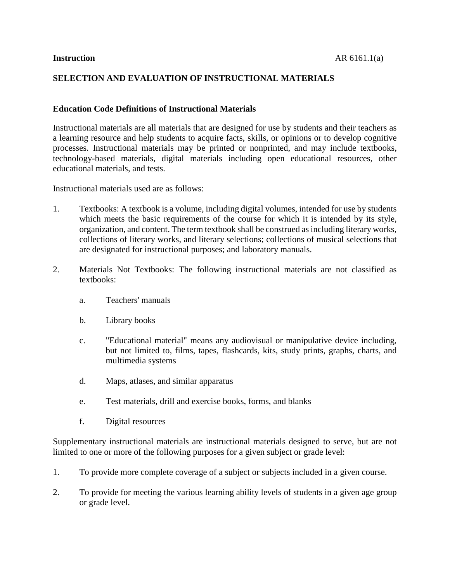#### **SELECTION AND EVALUATION OF INSTRUCTIONAL MATERIALS**

#### **Education Code Definitions of Instructional Materials**

Instructional materials are all materials that are designed for use by students and their teachers as a learning resource and help students to acquire facts, skills, or opinions or to develop cognitive processes. Instructional materials may be printed or nonprinted, and may include textbooks, technology-based materials, digital materials including open educational resources, other educational materials, and tests.

Instructional materials used are as follows:

- 1. Textbooks: A textbook is a volume, including digital volumes, intended for use by students which meets the basic requirements of the course for which it is intended by its style, organization, and content. The term textbook shall be construed as including literary works, collections of literary works, and literary selections; collections of musical selections that are designated for instructional purposes; and laboratory manuals.
- 2. Materials Not Textbooks: The following instructional materials are not classified as textbooks:
	- a. Teachers' manuals
	- b. Library books
	- c. "Educational material" means any audiovisual or manipulative device including, but not limited to, films, tapes, flashcards, kits, study prints, graphs, charts, and multimedia systems
	- d. Maps, atlases, and similar apparatus
	- e. Test materials, drill and exercise books, forms, and blanks
	- f. Digital resources

Supplementary instructional materials are instructional materials designed to serve, but are not limited to one or more of the following purposes for a given subject or grade level:

- 1. To provide more complete coverage of a subject or subjects included in a given course.
- 2. To provide for meeting the various learning ability levels of students in a given age group or grade level.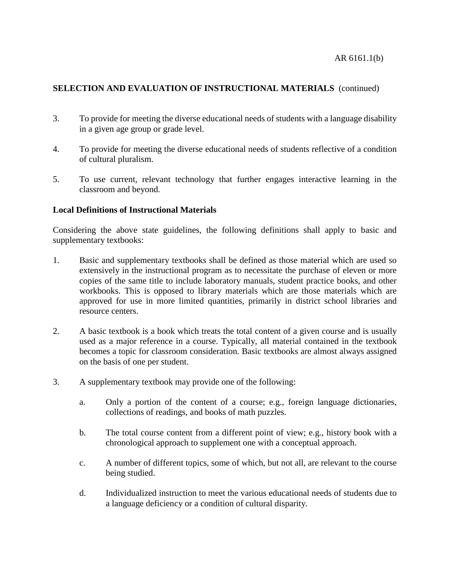- 3. To provide for meeting the diverse educational needs of students with a language disability in a given age group or grade level.
- 4. To provide for meeting the diverse educational needs of students reflective of a condition of cultural pluralism.
- 5. To use current, relevant technology that further engages interactive learning in the classroom and beyond.

# **Local Definitions of Instructional Materials**

Considering the above state guidelines, the following definitions shall apply to basic and supplementary textbooks:

- 1. Basic and supplementary textbooks shall be defined as those material which are used so extensively in the instructional program as to necessitate the purchase of eleven or more copies of the same title to include laboratory manuals, student practice books, and other workbooks. This is opposed to library materials which are those materials which are approved for use in more limited quantities, primarily in district school libraries and resource centers.
- 2. A basic textbook is a book which treats the total content of a given course and is usually used as a major reference in a course. Typically, all material contained in the textbook becomes a topic for classroom consideration. Basic textbooks are almost always assigned on the basis of one per student.
- 3. A supplementary textbook may provide one of the following:
	- a. Only a portion of the content of a course; e.g., foreign language dictionaries, collections of readings, and books of math puzzles.
	- b. The total course content from a different point of view; e.g., history book with a chronological approach to supplement one with a conceptual approach.
	- c. A number of different topics, some of which, but not all, are relevant to the course being studied.
	- d. Individualized instruction to meet the various educational needs of students due to a language deficiency or a condition of cultural disparity.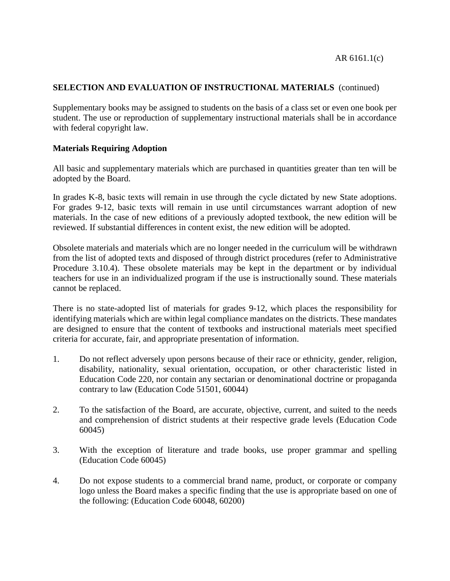Supplementary books may be assigned to students on the basis of a class set or even one book per student. The use or reproduction of supplementary instructional materials shall be in accordance with federal copyright law.

#### **Materials Requiring Adoption**

All basic and supplementary materials which are purchased in quantities greater than ten will be adopted by the Board.

In grades K-8, basic texts will remain in use through the cycle dictated by new State adoptions. For grades 9-12, basic texts will remain in use until circumstances warrant adoption of new materials. In the case of new editions of a previously adopted textbook, the new edition will be reviewed. If substantial differences in content exist, the new edition will be adopted.

Obsolete materials and materials which are no longer needed in the curriculum will be withdrawn from the list of adopted texts and disposed of through district procedures (refer to Administrative Procedure 3.10.4). These obsolete materials may be kept in the department or by individual teachers for use in an individualized program if the use is instructionally sound. These materials cannot be replaced.

There is no state-adopted list of materials for grades 9-12, which places the responsibility for identifying materials which are within legal compliance mandates on the districts. These mandates are designed to ensure that the content of textbooks and instructional materials meet specified criteria for accurate, fair, and appropriate presentation of information.

- 1. Do not reflect adversely upon persons because of their race or ethnicity, gender, religion, disability, nationality, sexual orientation, occupation, or other characteristic listed in Education Code 220, nor contain any sectarian or denominational doctrine or propaganda contrary to law (Education Code 51501, 60044)
- 2. To the satisfaction of the Board, are accurate, objective, current, and suited to the needs and comprehension of district students at their respective grade levels (Education Code 60045)
- 3. With the exception of literature and trade books, use proper grammar and spelling (Education Code 60045)
- 4. Do not expose students to a commercial brand name, product, or corporate or company logo unless the Board makes a specific finding that the use is appropriate based on one of the following: (Education Code 60048, 60200)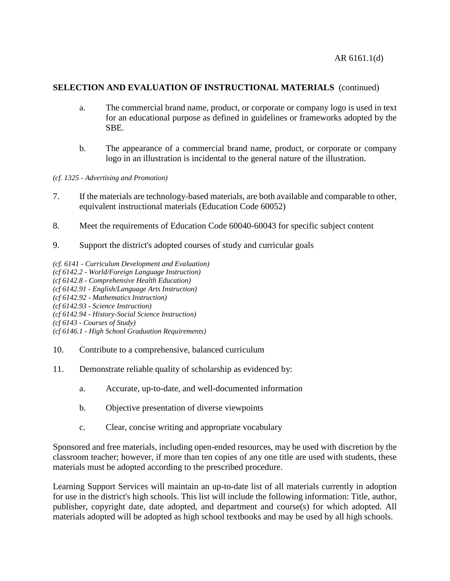- a. The commercial brand name, product, or corporate or company logo is used in text for an educational purpose as defined in guidelines or frameworks adopted by the SBE.
- b. The appearance of a commercial brand name, product, or corporate or company logo in an illustration is incidental to the general nature of the illustration.
- *(cf. 1325 - Advertising and Promotion)*
- 7. If the materials are technology-based materials, are both available and comparable to other, equivalent instructional materials (Education Code 60052)
- 8. Meet the requirements of Education Code 60040-60043 for specific subject content
- 9. Support the district's adopted courses of study and curricular goals
- *(cf. 6141 - Curriculum Development and Evaluation)*
- *(cf 6142.2 - World/Foreign Language Instruction)*
- *(cf 6142.8 - Comprehensive Health Education)*
- *(cf 6142.91 - English/Language Arts Instruction)*
- *(cf 6142.92 - Mathematics Instruction)*
- *(cf 6142.93 - Science Instruction)*
- *(cf 6142.94 - History-Social Science Instruction)*
- *(cf 6143 - Courses of Study)*
- *(cf 6146.1 - High School Graduation Requirements)*
- 10. Contribute to a comprehensive, balanced curriculum
- 11. Demonstrate reliable quality of scholarship as evidenced by:
	- a. Accurate, up-to-date, and well-documented information
	- b. Objective presentation of diverse viewpoints
	- c. Clear, concise writing and appropriate vocabulary

Sponsored and free materials, including open-ended resources, may be used with discretion by the classroom teacher; however, if more than ten copies of any one title are used with students, these materials must be adopted according to the prescribed procedure.

Learning Support Services will maintain an up-to-date list of all materials currently in adoption for use in the district's high schools. This list will include the following information: Title, author, publisher, copyright date, date adopted, and department and course(s) for which adopted. All materials adopted will be adopted as high school textbooks and may be used by all high schools.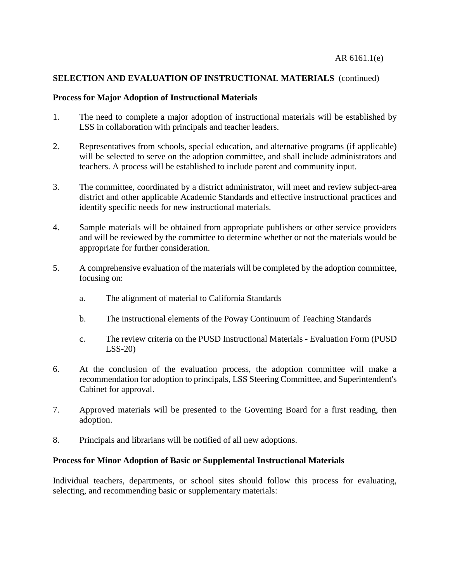#### **Process for Major Adoption of Instructional Materials**

- 1. The need to complete a major adoption of instructional materials will be established by LSS in collaboration with principals and teacher leaders.
- 2. Representatives from schools, special education, and alternative programs (if applicable) will be selected to serve on the adoption committee, and shall include administrators and teachers. A process will be established to include parent and community input.
- 3. The committee, coordinated by a district administrator, will meet and review subject-area district and other applicable Academic Standards and effective instructional practices and identify specific needs for new instructional materials.
- 4. Sample materials will be obtained from appropriate publishers or other service providers and will be reviewed by the committee to determine whether or not the materials would be appropriate for further consideration.
- 5. A comprehensive evaluation of the materials will be completed by the adoption committee, focusing on:
	- a. The alignment of material to California Standards
	- b. The instructional elements of the Poway Continuum of Teaching Standards
	- c. The review criteria on the PUSD Instructional Materials Evaluation Form (PUSD LSS-20)
- 6. At the conclusion of the evaluation process, the adoption committee will make a recommendation for adoption to principals, LSS Steering Committee, and Superintendent's Cabinet for approval.
- 7. Approved materials will be presented to the Governing Board for a first reading, then adoption.
- 8. Principals and librarians will be notified of all new adoptions.

### **Process for Minor Adoption of Basic or Supplemental Instructional Materials**

Individual teachers, departments, or school sites should follow this process for evaluating, selecting, and recommending basic or supplementary materials: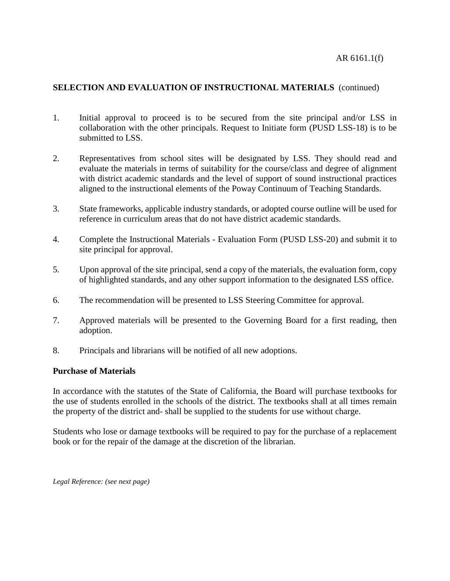- 1. Initial approval to proceed is to be secured from the site principal and/or LSS in collaboration with the other principals. Request to Initiate form (PUSD LSS-18) is to be submitted to LSS.
- 2. Representatives from school sites will be designated by LSS. They should read and evaluate the materials in terms of suitability for the course/class and degree of alignment with district academic standards and the level of support of sound instructional practices aligned to the instructional elements of the Poway Continuum of Teaching Standards.
- 3. State frameworks, applicable industry standards, or adopted course outline will be used for reference in curriculum areas that do not have district academic standards.
- 4. Complete the Instructional Materials Evaluation Form (PUSD LSS-20) and submit it to site principal for approval.
- 5. Upon approval of the site principal, send a copy of the materials, the evaluation form, copy of highlighted standards, and any other support information to the designated LSS office.
- 6. The recommendation will be presented to LSS Steering Committee for approval.
- 7. Approved materials will be presented to the Governing Board for a first reading, then adoption.
- 8. Principals and librarians will be notified of all new adoptions.

#### **Purchase of Materials**

In accordance with the statutes of the State of California, the Board will purchase textbooks for the use of students enrolled in the schools of the district. The textbooks shall at all times remain the property of the district and- shall be supplied to the students for use without charge.

Students who lose or damage textbooks will be required to pay for the purchase of a replacement book or for the repair of the damage at the discretion of the librarian.

*Legal Reference: (see next page)*